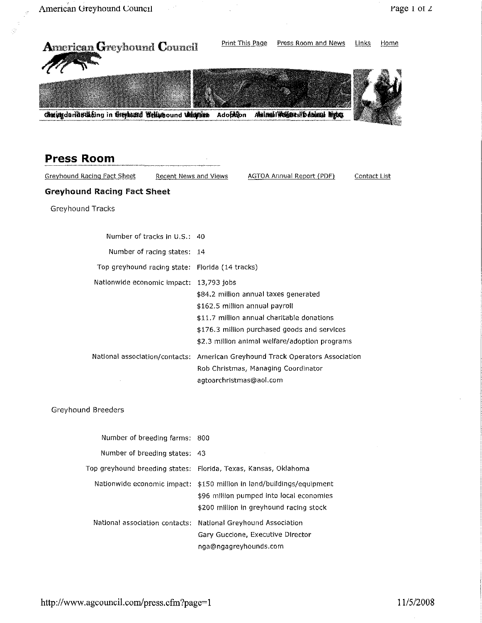

National association contacts: National Greyhound Association **Gary Guccione, Executive Director** nga@ngagreyhollnds,com